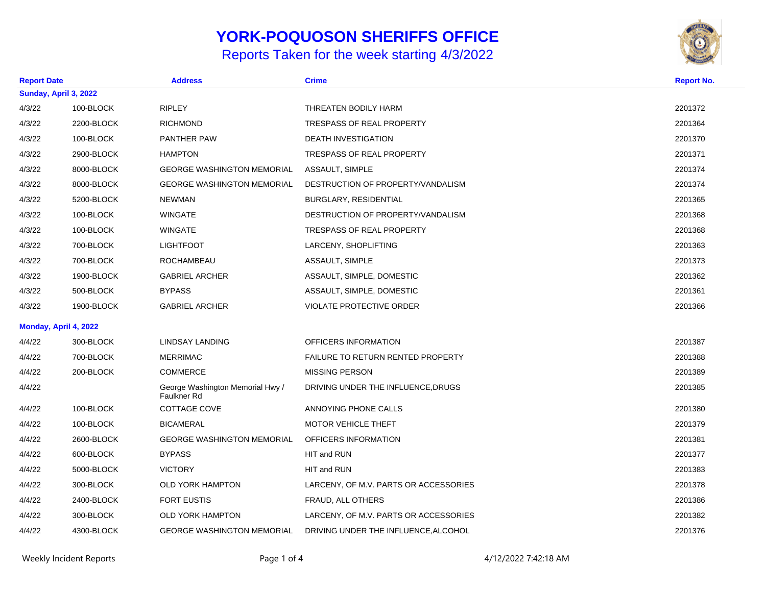## **YORK-POQUOSON SHERIFFS OFFICE**

## Reports Taken for the week starting 4/3/2022



| <b>Report Date</b> |                       | <b>Address</b>                                  | <b>Crime</b>                             |  | <b>Report No.</b> |  |
|--------------------|-----------------------|-------------------------------------------------|------------------------------------------|--|-------------------|--|
|                    | Sunday, April 3, 2022 |                                                 |                                          |  |                   |  |
| 4/3/22             | 100-BLOCK             | <b>RIPLEY</b>                                   | THREATEN BODILY HARM                     |  | 2201372           |  |
| 4/3/22             | 2200-BLOCK            | <b>RICHMOND</b>                                 | <b>TRESPASS OF REAL PROPERTY</b>         |  | 2201364           |  |
| 4/3/22             | 100-BLOCK             | PANTHER PAW                                     | <b>DEATH INVESTIGATION</b>               |  | 2201370           |  |
| 4/3/22             | 2900-BLOCK            | <b>HAMPTON</b>                                  | <b>TRESPASS OF REAL PROPERTY</b>         |  | 2201371           |  |
| 4/3/22             | 8000-BLOCK            | <b>GEORGE WASHINGTON MEMORIAL</b>               | ASSAULT, SIMPLE                          |  | 2201374           |  |
| 4/3/22             | 8000-BLOCK            | <b>GEORGE WASHINGTON MEMORIAL</b>               | DESTRUCTION OF PROPERTY/VANDALISM        |  | 2201374           |  |
| 4/3/22             | 5200-BLOCK            | <b>NEWMAN</b>                                   | BURGLARY, RESIDENTIAL                    |  | 2201365           |  |
| 4/3/22             | 100-BLOCK             | <b>WINGATE</b>                                  | DESTRUCTION OF PROPERTY/VANDALISM        |  | 2201368           |  |
| 4/3/22             | 100-BLOCK             | <b>WINGATE</b>                                  | <b>TRESPASS OF REAL PROPERTY</b>         |  | 2201368           |  |
| 4/3/22             | 700-BLOCK             | <b>LIGHTFOOT</b>                                | LARCENY, SHOPLIFTING                     |  | 2201363           |  |
| 4/3/22             | 700-BLOCK             | <b>ROCHAMBEAU</b>                               | ASSAULT, SIMPLE                          |  | 2201373           |  |
| 4/3/22             | 1900-BLOCK            | <b>GABRIEL ARCHER</b>                           | ASSAULT, SIMPLE, DOMESTIC                |  | 2201362           |  |
| 4/3/22             | 500-BLOCK             | <b>BYPASS</b>                                   | ASSAULT, SIMPLE, DOMESTIC                |  | 2201361           |  |
| 4/3/22             | 1900-BLOCK            | <b>GABRIEL ARCHER</b>                           | <b>VIOLATE PROTECTIVE ORDER</b>          |  | 2201366           |  |
|                    | Monday, April 4, 2022 |                                                 |                                          |  |                   |  |
| 4/4/22             | 300-BLOCK             | <b>LINDSAY LANDING</b>                          | OFFICERS INFORMATION                     |  | 2201387           |  |
| 4/4/22             | 700-BLOCK             | <b>MERRIMAC</b>                                 | <b>FAILURE TO RETURN RENTED PROPERTY</b> |  | 2201388           |  |
| 4/4/22             | 200-BLOCK             | <b>COMMERCE</b>                                 | <b>MISSING PERSON</b>                    |  | 2201389           |  |
| 4/4/22             |                       | George Washington Memorial Hwy /<br>Faulkner Rd | DRIVING UNDER THE INFLUENCE, DRUGS       |  | 2201385           |  |
| 4/4/22             | 100-BLOCK             | COTTAGE COVE                                    | ANNOYING PHONE CALLS                     |  | 2201380           |  |
| 4/4/22             | 100-BLOCK             | <b>BICAMERAL</b>                                | <b>MOTOR VEHICLE THEFT</b>               |  | 2201379           |  |
| 4/4/22             | 2600-BLOCK            | <b>GEORGE WASHINGTON MEMORIAL</b>               | OFFICERS INFORMATION                     |  | 2201381           |  |
| 4/4/22             | 600-BLOCK             | <b>BYPASS</b>                                   | HIT and RUN                              |  | 2201377           |  |
| 4/4/22             | 5000-BLOCK            | <b>VICTORY</b>                                  | HIT and RUN                              |  | 2201383           |  |
| 4/4/22             | 300-BLOCK             | <b>OLD YORK HAMPTON</b>                         | LARCENY, OF M.V. PARTS OR ACCESSORIES    |  | 2201378           |  |
| 4/4/22             | 2400-BLOCK            | <b>FORT EUSTIS</b>                              | FRAUD, ALL OTHERS                        |  | 2201386           |  |
| 4/4/22             | 300-BLOCK             | <b>OLD YORK HAMPTON</b>                         | LARCENY, OF M.V. PARTS OR ACCESSORIES    |  | 2201382           |  |
| 4/4/22             | 4300-BLOCK            | <b>GEORGE WASHINGTON MEMORIAL</b>               | DRIVING UNDER THE INFLUENCE, ALCOHOL     |  | 2201376           |  |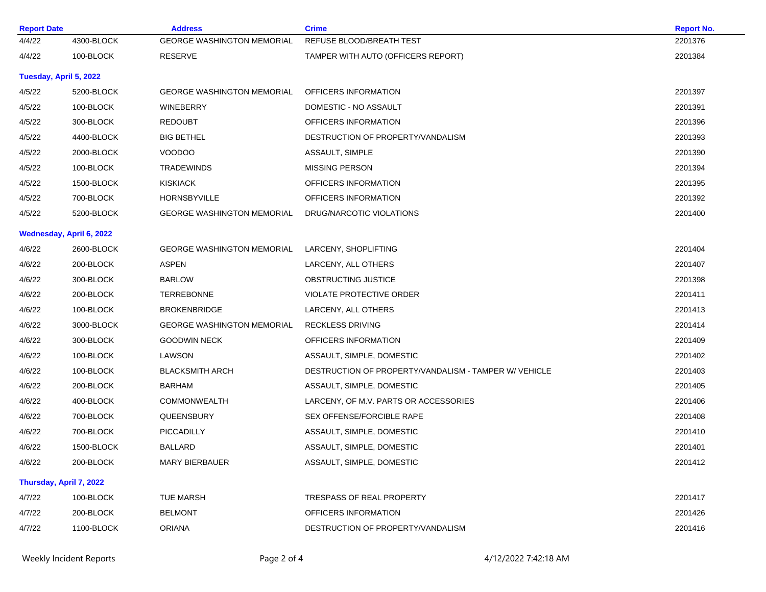| <b>Report Date</b> |                          | <b>Address</b>                    | <b>Crime</b>                                          | <b>Report No.</b> |
|--------------------|--------------------------|-----------------------------------|-------------------------------------------------------|-------------------|
| 4/4/22             | 4300-BLOCK               | <b>GEORGE WASHINGTON MEMORIAL</b> | REFUSE BLOOD/BREATH TEST                              | 2201376           |
| 4/4/22             | 100-BLOCK                | RESERVE                           | TAMPER WITH AUTO (OFFICERS REPORT)                    | 2201384           |
|                    | Tuesday, April 5, 2022   |                                   |                                                       |                   |
| 4/5/22             | 5200-BLOCK               | <b>GEORGE WASHINGTON MEMORIAL</b> | OFFICERS INFORMATION                                  | 2201397           |
| 4/5/22             | 100-BLOCK                | <b>WINEBERRY</b>                  | DOMESTIC - NO ASSAULT                                 | 2201391           |
| 4/5/22             | 300-BLOCK                | <b>REDOUBT</b>                    | OFFICERS INFORMATION                                  | 2201396           |
| 4/5/22             | 4400-BLOCK               | <b>BIG BETHEL</b>                 | DESTRUCTION OF PROPERTY/VANDALISM                     | 2201393           |
| 4/5/22             | 2000-BLOCK               | VOODOO                            | ASSAULT, SIMPLE                                       | 2201390           |
| 4/5/22             | 100-BLOCK                | <b>TRADEWINDS</b>                 | <b>MISSING PERSON</b>                                 | 2201394           |
| 4/5/22             | 1500-BLOCK               | <b>KISKIACK</b>                   | OFFICERS INFORMATION                                  | 2201395           |
| 4/5/22             | 700-BLOCK                | <b>HORNSBYVILLE</b>               | OFFICERS INFORMATION                                  | 2201392           |
| 4/5/22             | 5200-BLOCK               | <b>GEORGE WASHINGTON MEMORIAL</b> | DRUG/NARCOTIC VIOLATIONS                              | 2201400           |
|                    | Wednesday, April 6, 2022 |                                   |                                                       |                   |
| 4/6/22             | 2600-BLOCK               | <b>GEORGE WASHINGTON MEMORIAL</b> | LARCENY, SHOPLIFTING                                  | 2201404           |
| 4/6/22             | 200-BLOCK                | <b>ASPEN</b>                      | LARCENY, ALL OTHERS                                   | 2201407           |
| 4/6/22             | 300-BLOCK                | <b>BARLOW</b>                     | <b>OBSTRUCTING JUSTICE</b>                            | 2201398           |
| 4/6/22             | 200-BLOCK                | <b>TERREBONNE</b>                 | <b>VIOLATE PROTECTIVE ORDER</b>                       | 2201411           |
| 4/6/22             | 100-BLOCK                | <b>BROKENBRIDGE</b>               | LARCENY, ALL OTHERS                                   | 2201413           |
| 4/6/22             | 3000-BLOCK               | <b>GEORGE WASHINGTON MEMORIAL</b> | <b>RECKLESS DRIVING</b>                               | 2201414           |
| 4/6/22             | 300-BLOCK                | <b>GOODWIN NECK</b>               | OFFICERS INFORMATION                                  | 2201409           |
| 4/6/22             | 100-BLOCK                | LAWSON                            | ASSAULT, SIMPLE, DOMESTIC                             | 2201402           |
| 4/6/22             | 100-BLOCK                | <b>BLACKSMITH ARCH</b>            | DESTRUCTION OF PROPERTY/VANDALISM - TAMPER W/ VEHICLE | 2201403           |
| 4/6/22             | 200-BLOCK                | <b>BARHAM</b>                     | ASSAULT, SIMPLE, DOMESTIC                             | 2201405           |
| 4/6/22             | 400-BLOCK                | <b>COMMONWEALTH</b>               | LARCENY, OF M.V. PARTS OR ACCESSORIES                 | 2201406           |
| 4/6/22             | 700-BLOCK                | QUEENSBURY                        | SEX OFFENSE/FORCIBLE RAPE                             | 2201408           |
| 4/6/22             | 700-BLOCK                | PICCADILLY                        | ASSAULT, SIMPLE, DOMESTIC                             | 2201410           |
| 4/6/22             | 1500-BLOCK               | <b>BALLARD</b>                    | ASSAULT, SIMPLE, DOMESTIC                             | 2201401           |
| 4/6/22             | 200-BLOCK                | <b>MARY BIERBAUER</b>             | ASSAULT, SIMPLE, DOMESTIC                             | 2201412           |
|                    | Thursday, April 7, 2022  |                                   |                                                       |                   |
| 4/7/22             | 100-BLOCK                | <b>TUE MARSH</b>                  | TRESPASS OF REAL PROPERTY                             | 2201417           |
| 4/7/22             | 200-BLOCK                | <b>BELMONT</b>                    | OFFICERS INFORMATION                                  | 2201426           |
| 4/7/22             | 1100-BLOCK               | <b>ORIANA</b>                     | DESTRUCTION OF PROPERTY/VANDALISM                     | 2201416           |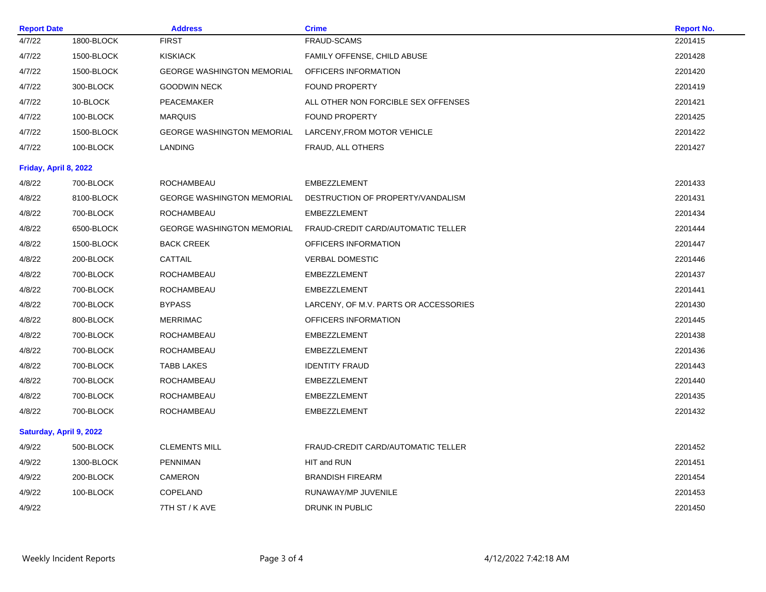| <b>Report Date</b>    |                         | <b>Address</b>                    | <b>Crime</b>                          | <b>Report No.</b> |
|-----------------------|-------------------------|-----------------------------------|---------------------------------------|-------------------|
| 4/7/22                | 1800-BLOCK              | <b>FIRST</b>                      | <b>FRAUD-SCAMS</b>                    | 2201415           |
| 4/7/22                | 1500-BLOCK              | <b>KISKIACK</b>                   | FAMILY OFFENSE, CHILD ABUSE           | 2201428           |
| 4/7/22                | 1500-BLOCK              | <b>GEORGE WASHINGTON MEMORIAL</b> | OFFICERS INFORMATION                  | 2201420           |
| 4/7/22                | 300-BLOCK               | <b>GOODWIN NECK</b>               | <b>FOUND PROPERTY</b>                 | 2201419           |
| 4/7/22                | 10-BLOCK                | PEACEMAKER                        | ALL OTHER NON FORCIBLE SEX OFFENSES   | 2201421           |
| 4/7/22                | 100-BLOCK               | <b>MARQUIS</b>                    | <b>FOUND PROPERTY</b>                 | 2201425           |
| 4/7/22                | 1500-BLOCK              | <b>GEORGE WASHINGTON MEMORIAL</b> | LARCENY, FROM MOTOR VEHICLE           | 2201422           |
| 4/7/22                | 100-BLOCK               | LANDING                           | FRAUD, ALL OTHERS                     | 2201427           |
| Friday, April 8, 2022 |                         |                                   |                                       |                   |
| 4/8/22                | 700-BLOCK               | ROCHAMBEAU                        | EMBEZZLEMENT                          | 2201433           |
| 4/8/22                | 8100-BLOCK              | <b>GEORGE WASHINGTON MEMORIAL</b> | DESTRUCTION OF PROPERTY/VANDALISM     | 2201431           |
| 4/8/22                | 700-BLOCK               | <b>ROCHAMBEAU</b>                 | EMBEZZLEMENT                          | 2201434           |
| 4/8/22                | 6500-BLOCK              | <b>GEORGE WASHINGTON MEMORIAL</b> | FRAUD-CREDIT CARD/AUTOMATIC TELLER    | 2201444           |
| 4/8/22                | 1500-BLOCK              | <b>BACK CREEK</b>                 | OFFICERS INFORMATION                  | 2201447           |
| 4/8/22                | 200-BLOCK               | CATTAIL                           | <b>VERBAL DOMESTIC</b>                | 2201446           |
| 4/8/22                | 700-BLOCK               | <b>ROCHAMBEAU</b>                 | EMBEZZLEMENT                          | 2201437           |
| 4/8/22                | 700-BLOCK               | ROCHAMBEAU                        | EMBEZZLEMENT                          | 2201441           |
| 4/8/22                | 700-BLOCK               | <b>BYPASS</b>                     | LARCENY, OF M.V. PARTS OR ACCESSORIES | 2201430           |
| 4/8/22                | 800-BLOCK               | <b>MERRIMAC</b>                   | OFFICERS INFORMATION                  | 2201445           |
| 4/8/22                | 700-BLOCK               | ROCHAMBEAU                        | EMBEZZLEMENT                          | 2201438           |
| 4/8/22                | 700-BLOCK               | <b>ROCHAMBEAU</b>                 | EMBEZZLEMENT                          | 2201436           |
| 4/8/22                | 700-BLOCK               | <b>TABB LAKES</b>                 | <b>IDENTITY FRAUD</b>                 | 2201443           |
| 4/8/22                | 700-BLOCK               | ROCHAMBEAU                        | <b>EMBEZZLEMENT</b>                   | 2201440           |
| 4/8/22                | 700-BLOCK               | <b>ROCHAMBEAU</b>                 | EMBEZZLEMENT                          | 2201435           |
| 4/8/22                | 700-BLOCK               | <b>ROCHAMBEAU</b>                 | <b>EMBEZZLEMENT</b>                   | 2201432           |
|                       | Saturday, April 9, 2022 |                                   |                                       |                   |
| 4/9/22                | 500-BLOCK               | <b>CLEMENTS MILL</b>              | FRAUD-CREDIT CARD/AUTOMATIC TELLER    | 2201452           |
| 4/9/22                | 1300-BLOCK              | <b>PENNIMAN</b>                   | HIT and RUN                           | 2201451           |
| 4/9/22                | 200-BLOCK               | <b>CAMERON</b>                    | <b>BRANDISH FIREARM</b>               | 2201454           |
| 4/9/22                | 100-BLOCK               | COPELAND                          | RUNAWAY/MP JUVENILE                   | 2201453           |
| 4/9/22                |                         | 7TH ST / K AVE                    | <b>DRUNK IN PUBLIC</b>                | 2201450           |